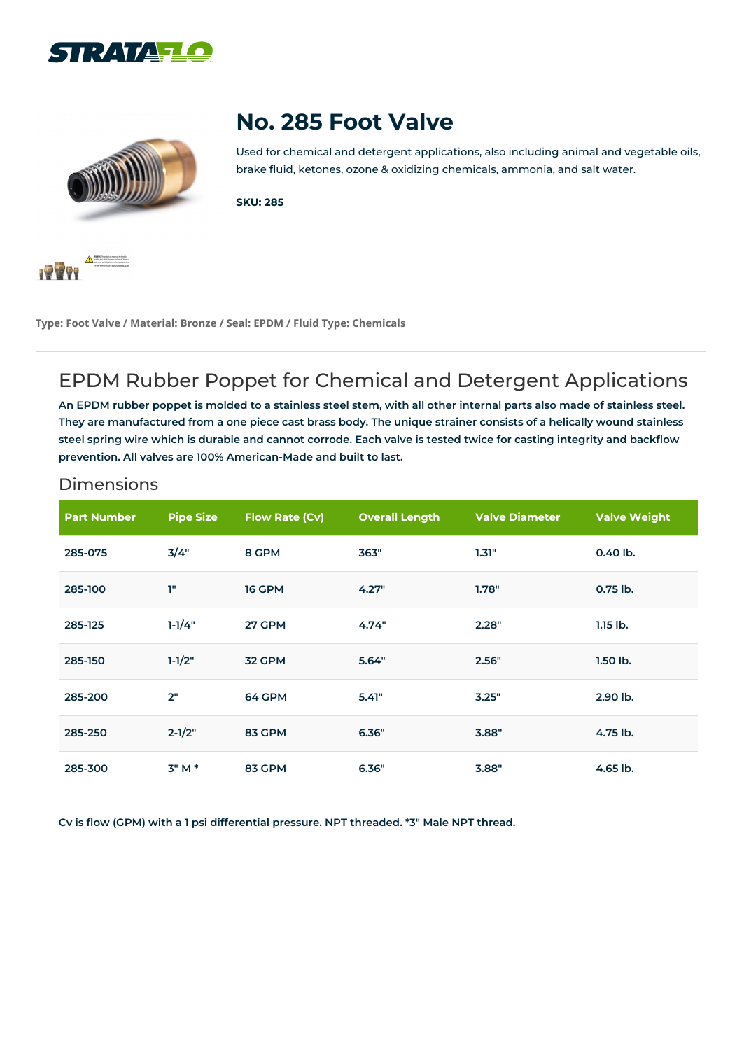



## **No. 285 Foot Valve**

Used for chemical and detergent applications, also including animal and vegetable oils, brake fluid, ketones, ozone & oxidizing chemicals, ammonia, and salt water.

**SKU: 285**



**Type: Foot Valve / Material: Bronze / Seal: EPDM / Fluid Type: Chemicals**

## EPDM Rubber Poppet for Chemical and Detergent Applications

An EPDM rubber poppet is molded to a stainless steel stem, with all other internal parts also made of stainless steel. They are manufactured from a one piece cast brass body. The unique strainer consists of a helically wound stainless steel spring wire which is durable and cannot corrode. Each valve is tested twice for casting integrity and backflow **prevention. All valves are 100% American-Made and built to last.**

|  |  |  | <b>Dimensions</b> |  |  |
|--|--|--|-------------------|--|--|
|  |  |  |                   |  |  |
|  |  |  |                   |  |  |
|  |  |  |                   |  |  |

| <b>Part Number</b> | <b>Pipe Size</b> | <b>Flow Rate (Cv)</b> | <b>Overall Length</b> | <b>Valve Diameter</b> | <b>Valve Weight</b> |
|--------------------|------------------|-----------------------|-----------------------|-----------------------|---------------------|
| 285-075            | 3/4"             | 8 GPM                 | 363"                  | 1.31"                 | $0.40$ lb.          |
| 285-100            | T"               | <b>16 GPM</b>         | 4.27"                 | 1.78"                 | $0.75$ lb.          |
| 285-125            | $1 - 1/4"$       | 27 GPM                | 4.74"                 | 2.28"                 | $1.15$ lb.          |
| 285-150            | $1 - 1/2"$       | 32 GPM                | 5.64"                 | 2.56"                 | $1.50$ lb.          |
| 285-200            | 2"               | 64 GPM                | 5.41"                 | 3.25"                 | 2.90 lb.            |
| 285-250            | $2 - 1/2"$       | 83 GPM                | 6.36"                 | 3.88"                 | 4.75 lb.            |
| 285-300            | 3" M *           | 83 GPM                | 6.36"                 | 3.88"                 | 4.65 lb.            |

**Cv is flow (GPM) with a 1 psi differential pressure. NPT threaded. \*3" Male NPT thread.**